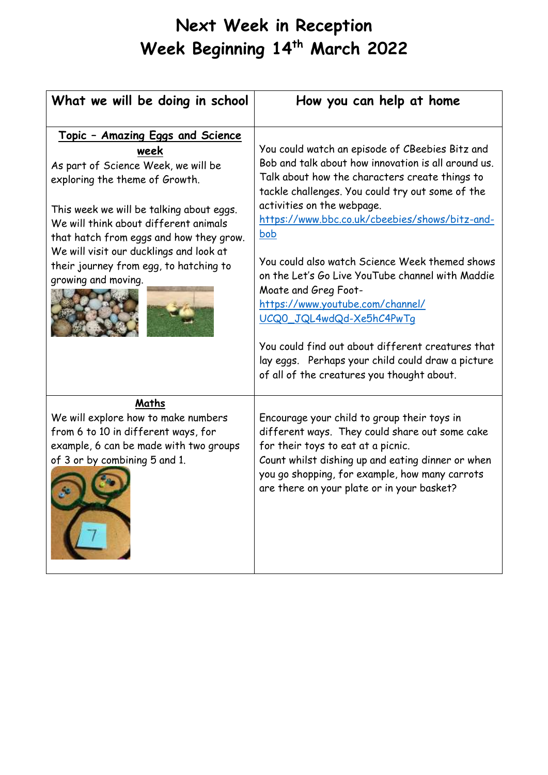## **Next Week in Reception Week Beginning 14th March 2022**

| What we will be doing in school                                                                                                                                                                                                                                                                                                                                       | How you can help at home                                                                                                                                                                                                                                                                                                                                                                                                                                                                                                                                                                                                                                         |
|-----------------------------------------------------------------------------------------------------------------------------------------------------------------------------------------------------------------------------------------------------------------------------------------------------------------------------------------------------------------------|------------------------------------------------------------------------------------------------------------------------------------------------------------------------------------------------------------------------------------------------------------------------------------------------------------------------------------------------------------------------------------------------------------------------------------------------------------------------------------------------------------------------------------------------------------------------------------------------------------------------------------------------------------------|
| <u> Topic - Amazing Eggs and Science</u><br>week<br>As part of Science Week, we will be<br>exploring the theme of Growth.<br>This week we will be talking about eggs.<br>We will think about different animals<br>that hatch from eggs and how they grow.<br>We will visit our ducklings and look at<br>their journey from egg, to hatching to<br>growing and moving. | You could watch an episode of CBeebies Bitz and<br>Bob and talk about how innovation is all around us.<br>Talk about how the characters create things to<br>tackle challenges. You could try out some of the<br>activities on the webpage.<br>https://www.bbc.co.uk/cbeebies/shows/bitz-and-<br><b>bob</b><br>You could also watch Science Week themed shows<br>on the Let's Go Live YouTube channel with Maddie<br>Moate and Greg Foot-<br>https://www.youtube.com/channel/<br>UCQ0_JQL4wdQd-Xe5hC4PwTq<br>You could find out about different creatures that<br>lay eggs. Perhaps your child could draw a picture<br>of all of the creatures you thought about. |
| Maths<br>We will explore how to make numbers<br>from 6 to 10 in different ways, for<br>example, 6 can be made with two groups<br>of 3 or by combining 5 and 1.<br>$\tau$                                                                                                                                                                                              | Encourage your child to group their toys in<br>different ways. They could share out some cake<br>for their toys to eat at a picnic.<br>Count whilst dishing up and eating dinner or when<br>you go shopping, for example, how many carrots<br>are there on your plate or in your basket?                                                                                                                                                                                                                                                                                                                                                                         |